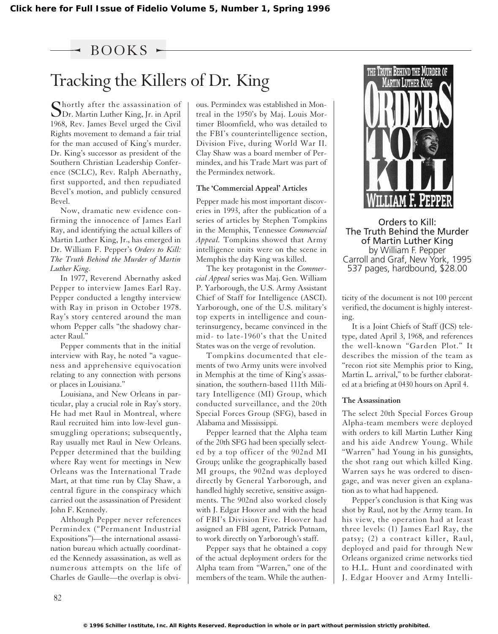### $BOOKS$   $\sim$

# Tracking the Killers of Dr. King

Shortly after the assassination of Dr. Martin Luther King, Jr. in April 1968, Rev. James Bevel urged the Civil Rights movement to demand a fair trial for the man accused of King's murder. Dr. King's successor as president of the Southern Christian Leadership Conference (SCLC), Rev. Ralph Abernathy, first supported, and then repudiated Bevel's motion, and publicly censured Bevel.

Now, dramatic new evidence confirming the innocence of James Earl Ray, and identifying the actual killers of Martin Luther King, Jr., has emerged in Dr. William F. Pepper's *Orders to Kill: The Truth Behind the Murder of Martin Luther King.*

In 1977, Reverend Abernathy asked Pepper to interview James Earl Ray. Pepper conducted a lengthy interview with Ray in prison in October 1978. Ray's story centered around the man whom Pepper calls "the shadowy character Raul."

Pepper comments that in the initial interview with Ray, he noted "a vagueness and apprehensive equivocation relating to any connection with persons or places in Louisiana."

Louisiana, and New Orleans in particular, play a crucial role in Ray's story. He had met Raul in Montreal, where Raul recruited him into low-level gunsmuggling operations; subsequently, Ray usually met Raul in New Orleans. Pepper determined that the building where Ray went for meetings in New Orleans was the International Trade Mart, at that time run by Clay Shaw, a central figure in the conspiracy which carried out the assassination of President John F. Kennedy.

Although Pepper never references Permindex ("Permanent Industrial Expositions")—the international assassination bureau which actually coordinated the Kennedy assassination, as well as numerous attempts on the life of Charles de Gaulle—the overlap is obvious. Permindex was established in Montreal in the 1950's by Maj. Louis Mortimer Bloomfield, who was detailed to the FBI's counterintelligence section, Division Five, during World War II. Clay Shaw was a board member of Permindex, and his Trade Mart was part of the Permindex network.

#### **The 'Commercial Appeal' Articles**

Pepper made his most important discoveries in 1993, after the publication of a series of articles by Stephen Tompkins in the Memphis, Tennessee *Commercial Appeal.* Tompkins showed that Army intelligence units were on the scene in Memphis the day King was killed.

The key protagonist in the *Commercial Appeal* series was Maj. Gen. William P. Yarborough, the U.S. Army Assistant Chief of Staff for Intelligence (ASCI). Yarborough, one of the U.S. military's top experts in intelligence and counterinsurgency, became convinced in the mid- to late-1960's that the United States was on the verge of revolution.

Tompkins documented that elements of two Army units were involved in Memphis at the time of King's assassination, the southern-based 111th Military Intelligence (MI) Group, which conducted surveillance, and the 20th Special Forces Group (SFG), based in Alabama and Mississippi.

Pepper learned that the Alpha team of the 20th SFG had been specially selected by a top officer of the 902nd MI Group; unlike the geographically based MI groups, the 902nd was deployed directly by General Yarborough, and handled highly secretive, sensitive assignments. The 902nd also worked closely with J. Edgar Hoover and with the head of FBI's Division Five. Hoover had assigned an FBI agent, Patrick Putnam, to work directly on Yarborough's staff.

Pepper says that he obtained a copy of the actual deployment orders for the Alpha team from "Warren," one of the members of the team. While the authen-



Orders to Kill: The Truth Behind the Murder of Martin Luther King by William F. Pepper Carroll and Graf, New York, 1995 537 pages, hardbound, \$28.00

ticity of the document is not 100 percent verified, the document is highly interesting.

It is a Joint Chiefs of Staff (JCS) teletype, dated April 3, 1968, and references the well-known "Garden Plot." It describes the mission of the team as "recon riot site Memphis prior to King, Martin L. arrival," to be further elaborated at a briefing at 0430 hours on April 4.

#### **The Assassination**

The select 20th Special Forces Group Alpha-team members were deployed with orders to kill Martin Luther King and his aide Andrew Young. While "Warren" had Young in his gunsights, the shot rang out which killed King. Warren says he was ordered to disengage, and was never given an explanation as to what had happened.

Pepper's conclusion is that King was shot by Raul, not by the Army team. In his view, the operation had at least three levels: (1) James Earl Ray, the patsy; (2) a contract killer, Raul, deployed and paid for through New Orleans organized crime networks tied to H.L. Hunt and coordinated with J. Edgar Hoover and Army Intelli